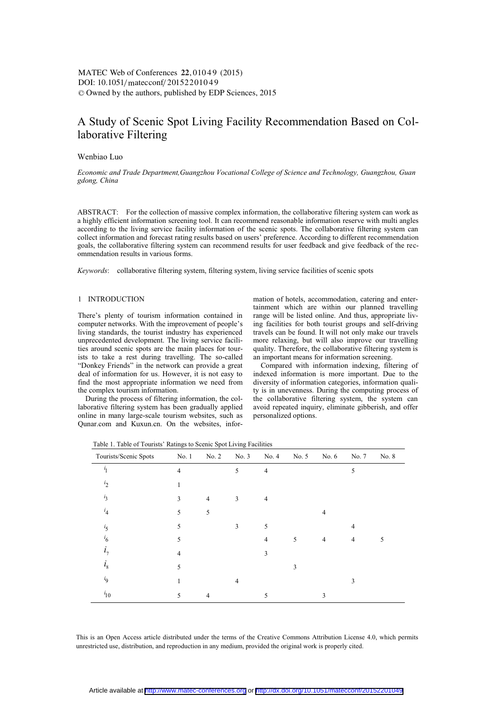# $\text{DOI: } 10.1051/\text{mategorf}/20152201049$ -<sup>C</sup> Owned by the authors, published by EDP Sciences, 2015 MATEC Web of Conferences 22, 01049 (2015)

# A Study of Scenic Spot Living Facility Recommendation Based on Collaborative Filtering

## Wenbiao Luo

*Economic and Trade Department,Guangzhou Vocational College of Science and Technology, Guangzhou, Guan gdong, China*

ABSTRACT: For the collection of massive complex information, the collaborative filtering system can work as a highly efficient information screening tool. It can recommend reasonable information reserve with multi angles according to the living service facility information of the scenic spots. The collaborative filtering system can collect information and forecast rating results based on users' preference. According to different recommendation goals, the collaborative filtering system can recommend results for user feedback and give feedback of the recommendation results in various forms.

*Keywords*: collaborative filtering system, filtering system, living service facilities of scenic spots

### 1 INTRODUCTION

There's plenty of tourism information contained in computer networks. With the improvement of people's living standards, the tourist industry has experienced unprecedented development. The living service facilities around scenic spots are the main places for tourists to take a rest during travelling. The so-called "Donkey Friends" in the network can provide a great deal of information for us. However, it is not easy to find the most appropriate information we need from the complex tourism information.

During the process of filtering information, the collaborative filtering system has been gradually applied online in many large-scale tourism websites, such as Qunar.com and Kuxun.cn. On the websites, information of hotels, accommodation, catering and entertainment which are within our planned travelling range will be listed online. And thus, appropriate living facilities for both tourist groups and self-driving travels can be found. It will not only make our travels more relaxing, but will also improve our travelling quality. Therefore, the collaborative filtering system is an important means for information screening.

Compared with information indexing, filtering of indexed information is more important. Due to the diversity of information categories, information quality is in unevenness. During the computing process of the collaborative filtering system, the system can avoid repeated inquiry, eliminate gibberish, and offer personalized options.

Table 1. Table of Tourists' Ratings to Scenic Spot Living Facilities

| Tourists/Scenic Spots | No. 1          | No. 2          | No. 3          | No. 4          | No. 5 | No. 6          | No. 7 | No. 8 |
|-----------------------|----------------|----------------|----------------|----------------|-------|----------------|-------|-------|
| $\mathbf{i}_1$        | $\overline{4}$ |                | 5              | $\overline{4}$ |       |                | 5     |       |
| i <sub>2</sub>        | 1              |                |                |                |       |                |       |       |
| $i_3$                 | 3              | $\overline{4}$ | 3              | 4              |       |                |       |       |
| $i_4$                 | 5              | 5              |                |                |       | $\overline{4}$ |       |       |
| $i_5$                 | 5              |                | 3              | 5              |       |                | 4     |       |
| $i_6$                 | 5              |                |                | $\overline{4}$ | 5     | 4              | 4     | 5     |
| i <sub>7</sub>        | $\overline{4}$ |                |                | 3              |       |                |       |       |
| $i_{\rm s}$           | 5              |                |                |                | 3     |                |       |       |
| $i_{9}$               | 1              |                | $\overline{4}$ |                |       |                | 3     |       |
| $i_{10}$              | 5              | 4              |                | 5              |       | 3              |       |       |

This is an Open Access article distributed under the terms of the Creative Commons Attribution License 4.0, which permits unrestricted use, distribution, and reproduction in any medium, provided the original work is properly cited.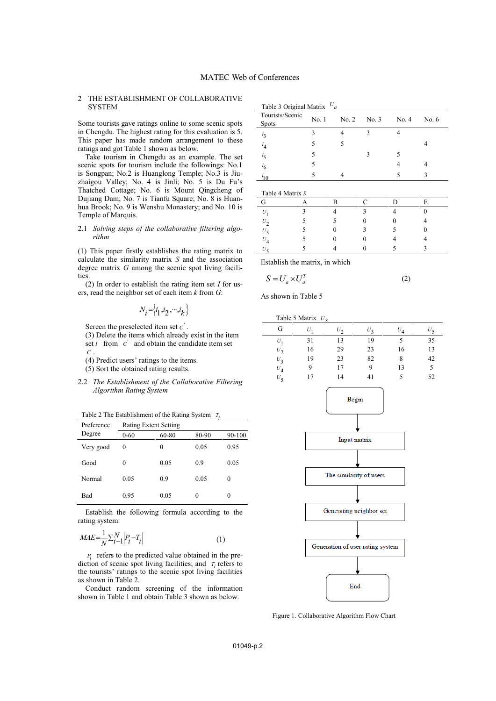## 2 THE ESTABLISHMENT OF COLLABORATIVE **SYSTEM**

Some tourists gave ratings online to some scenic spots in Chengdu. The highest rating for this evaluation is 5. This paper has made random arrangement to these ratings and got Table 1 shown as below.

Take tourism in Chengdu as an example. The set scenic spots for tourism include the followings: No.1 is Songpan; No.2 is Huanglong Temple; No.3 is Jiuzhaigou Valley; No. 4 is Jinli; No. 5 is Du Fu's Thatched Cottage; No. 6 is Mount Qingcheng of Dujiang Dam; No. 7 is Tianfu Square; No. 8 is Huanhua Brook; No. 9 is Wenshu Monastery; and No. 10 is Temple of Marquis.

#### 2.1 *Solving steps of the collaborative filtering algorithm*

(1) This paper firstly establishes the rating matrix to calculate the similarity matrix *S* and the association degree matrix *G* among the scenic spot living facilities.

(2) In order to establish the rating item set *I* for users, read the neighbor set of each item *k* from *G*:

$$
N_i = \{i_1, i_2, \cdots, i_k\}
$$

Screen the preselected item set  $C'$ .

(3) Delete the items which already exist in the item set *I* from  $C'$  and obtain the candidate item set *C* .

(4) Predict users' ratings to the items.

(5) Sort the obtained rating results.

2.2 *The Establishment of the Collaborative Filtering Algorithm Rating System* 

Table 2 The Establishment of the Rating System *Ti*

| Preference | <b>Rating Extent Setting</b> |       |      |        |  |  |  |  |
|------------|------------------------------|-------|------|--------|--|--|--|--|
| Degree     | $0 - 60$                     | 60-80 |      | 90-100 |  |  |  |  |
| Very good  | $\theta$                     | 0     | 0.05 | 0.95   |  |  |  |  |
| Good       | $\theta$                     | 0.05  | 0.9  | 0.05   |  |  |  |  |
| Normal     | 0.05                         | 0.9   | 0.05 | 0      |  |  |  |  |
| Bad        | 0.95                         | 0.05  | 0    | 0      |  |  |  |  |

Establish the following formula according to the rating system:

$$
MAE = \frac{1}{N} \sum_{i=1}^{N} \left| P_i - T_i \right| \tag{1}
$$

 $P_i$  refers to the predicted value obtained in the prediction of scenic spot living facilities; and  $T_i$  refers to the tourists' ratings to the scenic spot living facilities as shown in Table 2.

Conduct random screening of the information shown in Table 1 and obtain Table 3 shown as below.

| Tourists/Scenic<br><b>Spots</b> | No.1 | No. 2 | No. 3 | No. 4 | No. $6$ |
|---------------------------------|------|-------|-------|-------|---------|
| $i_3$                           | 3    |       | 3     |       |         |
| $i_4$                           | 5    | 5     |       |       | 4       |
|                                 | 5    |       | 3     |       |         |
| $i_5$<br>$i_6$                  | 5    |       |       | 4     |         |
| $i_{10}$                        | 5    |       |       | 5     | 3       |

| ------           |   |  |   |
|------------------|---|--|---|
|                  | R |  | E |
| U.               |   |  |   |
| $U_2$            |   |  |   |
| $U_3$            |   |  |   |
| $U_{\mathbf{A}}$ |   |  |   |
|                  |   |  |   |
|                  |   |  |   |

Establish the matrix, in which

$$
S = U_a \times U_a^T \tag{2}
$$

As shown in Table 5

|                   | Table 5 Matrix $U_{\rm g}$ |       |       |       |                              |
|-------------------|----------------------------|-------|-------|-------|------------------------------|
| G                 | U                          | $U_2$ | $U_2$ | $U_A$ | $U_{\boldsymbol{\varsigma}}$ |
| $U_1$             | 31                         | 13    | 19    | 5     | 35                           |
| $U_2$             | 16                         | 29    | 23    | 16    | 13                           |
| $U_3$             | 19                         | 23    | 82    | 8     | 42                           |
| $U_{\mathcal{A}}$ | 9                          | 17    | 9     | 13    | 5                            |
| $U_{\xi}$         | 17                         | 14    | 41    | 5     | 52                           |



Figure 1. Collaborative Algorithm Flow Chart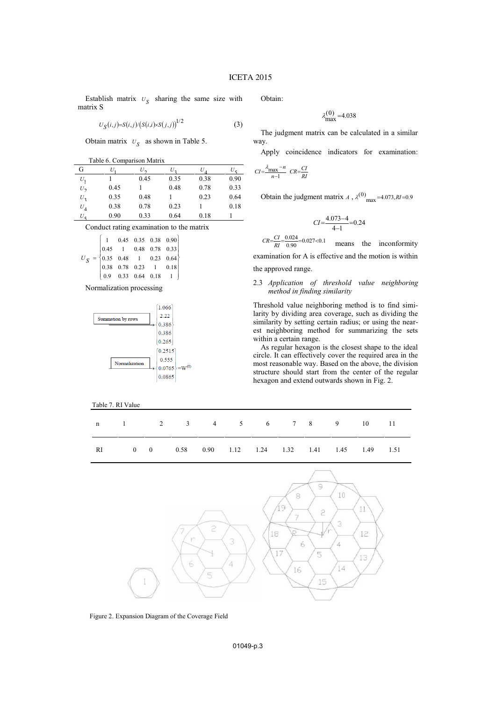Establish matrix  $U<sub>S</sub>$  sharing the same size with matrix S

$$
U_{S}(i,j)=S(i,j)/(S(i,i)\times S(j,j))^{1/2}
$$
 (3)

Obtain matrix  $U_S$  as shown in Table 5.

Table 6. Comparison Matrix

| G              | U    |      | U,   |      |      |
|----------------|------|------|------|------|------|
| $U_1$          |      | 0.45 | 0.35 | 0.38 | 0.90 |
| $U_2$          | 0.45 |      | 0.48 | 0.78 | 0.33 |
| $U_3$          | 0.35 | 0.48 |      | 0.23 | 0.64 |
| $U_4$          | 0.38 | 0.78 | 0.23 |      | 0.18 |
| $U_{\epsilon}$ | 0.90 | 0.33 | 0.64 | 0.18 |      |

Conduct rating examination to the matrix

| $U_S \; = \; \begin{bmatrix} 1 & 0.45 & 0.35 & 0.38 & 0.90 \\ 0.45 & 1 & 0.48 & 0.78 & 0.33 \\ 0.35 & 0.48 & 1 & 0.23 & 0.64 \\ 0.38 & 0.78 & 0.23 & 1 & 0.18 \\ 0.9 & 0.33 & 0.64 & 0.18 & 1 \end{bmatrix}$ |  |  |  |
|--------------------------------------------------------------------------------------------------------------------------------------------------------------------------------------------------------------|--|--|--|
|                                                                                                                                                                                                              |  |  |  |
|                                                                                                                                                                                                              |  |  |  |
|                                                                                                                                                                                                              |  |  |  |
|                                                                                                                                                                                                              |  |  |  |

Normalization processing



# Table 7. RI Value

Obtain:

$$
\lambda_{\text{max}}^{(0)} = 4.038
$$

The judgment matrix can be calculated in a similar way.

Apply coincidence indicators for examination:

$$
CI = \frac{\lambda_{\text{max}} - n}{n - 1} \quad CR = \frac{CI}{RI}
$$

Obtain the judgment matrix *A* ,  $\lambda^{(0)}$ <sub>max</sub> = 4.073, *RI* = 0.9

$$
CI = \frac{4.073 - 4}{4 - 1} = 0.24
$$

 $CR = \frac{CI}{RI} = \frac{0.024}{0.90} = 0.027 < 0.1$  means the inconformity examination for A is effective and the motion is within

the approved range.

## 2.3 *Application of threshold value neighboring method in finding similarity*

Threshold value neighboring method is to find similarity by dividing area coverage, such as dividing the similarity by setting certain radius; or using the nearest neighboring method for summarizing the sets within a certain range.

As regular hexagon is the closest shape to the ideal circle. It can effectively cover the required area in the most reasonable way. Based on the above, the division structure should start from the center of the regular hexagon and extend outwards shown in Fig. 2.

|  |  |  |  | n 1 2 3 4 5 6 7 8 9 10 11                             |  |
|--|--|--|--|-------------------------------------------------------|--|
|  |  |  |  | RI 0 0 0 0.58 0.90 1.12 1.24 1.32 1.41 1.45 1.49 1.51 |  |



Figure 2. Expansion Diagram of the Coverage Field